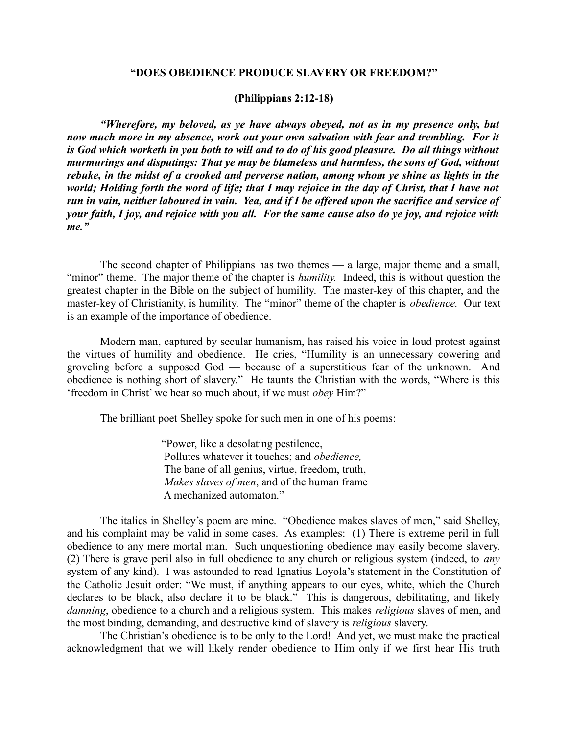## **"DOES OBEDIENCE PRODUCE SLAVERY OR FREEDOM?"**

#### **(Philippians 2:12-18)**

*"Wherefore, my beloved, as ye have always obeyed, not as in my presence only, but now much more in my absence, work out your own salvation with fear and trembling. For it is God which worketh in you both to will and to do of his good pleasure. Do all things without murmurings and disputings: That ye may be blameless and harmless, the sons of God, without rebuke, in the midst of a crooked and perverse nation, among whom ye shine as lights in the world; Holding forth the word of life; that I may rejoice in the day of Christ, that I have not run in vain, neither laboured in vain. Yea, and if I be offered upon the sacrifice and service of your faith, I joy, and rejoice with you all. For the same cause also do ye joy, and rejoice with me."*

The second chapter of Philippians has two themes — a large, major theme and a small, "minor" theme. The major theme of the chapter is *humility.* Indeed, this is without question the greatest chapter in the Bible on the subject of humility. The master-key of this chapter, and the master-key of Christianity, is humility. The "minor" theme of the chapter is *obedience.* Our text is an example of the importance of obedience.

Modern man, captured by secular humanism, has raised his voice in loud protest against the virtues of humility and obedience. He cries, "Humility is an unnecessary cowering and groveling before a supposed God — because of a superstitious fear of the unknown. And obedience is nothing short of slavery." He taunts the Christian with the words, "Where is this 'freedom in Christ' we hear so much about, if we must *obey* Him?"

The brilliant poet Shelley spoke for such men in one of his poems:

 "Power, like a desolating pestilence, Pollutes whatever it touches; and *obedience,* The bane of all genius, virtue, freedom, truth,  *Makes slaves of men*, and of the human frame A mechanized automaton."

The italics in Shelley's poem are mine. "Obedience makes slaves of men," said Shelley, and his complaint may be valid in some cases. As examples: (1) There is extreme peril in full obedience to any mere mortal man. Such unquestioning obedience may easily become slavery. (2) There is grave peril also in full obedience to any church or religious system (indeed, to *any* system of any kind). I was astounded to read Ignatius Loyola's statement in the Constitution of the Catholic Jesuit order: "We must, if anything appears to our eyes, white, which the Church declares to be black, also declare it to be black." This is dangerous, debilitating, and likely *damning*, obedience to a church and a religious system. This makes *religious* slaves of men, and the most binding, demanding, and destructive kind of slavery is *religious* slavery.

The Christian's obedience is to be only to the Lord! And yet, we must make the practical acknowledgment that we will likely render obedience to Him only if we first hear His truth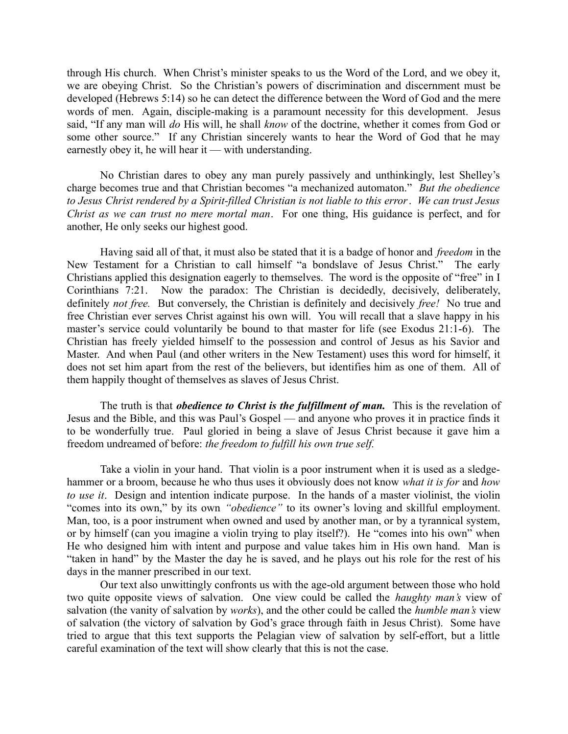through His church. When Christ's minister speaks to us the Word of the Lord, and we obey it, we are obeying Christ. So the Christian's powers of discrimination and discernment must be developed (Hebrews 5:14) so he can detect the difference between the Word of God and the mere words of men. Again, disciple-making is a paramount necessity for this development. Jesus said, "If any man will *do* His will, he shall *know* of the doctrine, whether it comes from God or some other source." If any Christian sincerely wants to hear the Word of God that he may earnestly obey it, he will hear it — with understanding.

No Christian dares to obey any man purely passively and unthinkingly, lest Shelley's charge becomes true and that Christian becomes "a mechanized automaton." *But the obedience to Jesus Christ rendered by a Spirit-filled Christian is not liable to this error*. *We can trust Jesus Christ as we can trust no mere mortal man*. For one thing, His guidance is perfect, and for another, He only seeks our highest good.

Having said all of that, it must also be stated that it is a badge of honor and *freedom* in the New Testament for a Christian to call himself "a bondslave of Jesus Christ." The early Christians applied this designation eagerly to themselves. The word is the opposite of "free" in I Corinthians 7:21. Now the paradox: The Christian is decidedly, decisively, deliberately, definitely *not free.* But conversely, the Christian is definitely and decisively *free!* No true and free Christian ever serves Christ against his own will. You will recall that a slave happy in his master's service could voluntarily be bound to that master for life (see Exodus 21:1-6). The Christian has freely yielded himself to the possession and control of Jesus as his Savior and Master. And when Paul (and other writers in the New Testament) uses this word for himself, it does not set him apart from the rest of the believers, but identifies him as one of them. All of them happily thought of themselves as slaves of Jesus Christ.

The truth is that *obedience to Christ is the fulfillment of man*. This is the revelation of Jesus and the Bible, and this was Paul's Gospel — and anyone who proves it in practice finds it to be wonderfully true. Paul gloried in being a slave of Jesus Christ because it gave him a freedom undreamed of before: *the freedom to fulfill his own true self.*

Take a violin in your hand. That violin is a poor instrument when it is used as a sledgehammer or a broom, because he who thus uses it obviously does not know *what it is for* and *how to use it*. Design and intention indicate purpose. In the hands of a master violinist, the violin "comes into its own," by its own *"obedience"* to its owner's loving and skillful employment. Man, too, is a poor instrument when owned and used by another man, or by a tyrannical system, or by himself (can you imagine a violin trying to play itself?). He "comes into his own" when He who designed him with intent and purpose and value takes him in His own hand. Man is "taken in hand" by the Master the day he is saved, and he plays out his role for the rest of his days in the manner prescribed in our text.

Our text also unwittingly confronts us with the age-old argument between those who hold two quite opposite views of salvation. One view could be called the *haughty man's* view of salvation (the vanity of salvation by *works*), and the other could be called the *humble man's* view of salvation (the victory of salvation by God's grace through faith in Jesus Christ). Some have tried to argue that this text supports the Pelagian view of salvation by self-effort, but a little careful examination of the text will show clearly that this is not the case.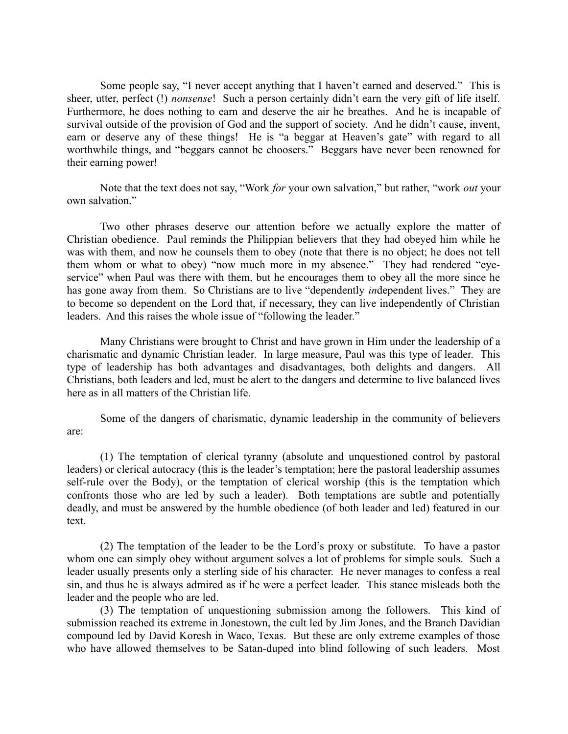Some people say, "I never accept anything that I haven't earned and deserved." This is sheer, utter, perfect (!) *nonsense*! Such a person certainly didn't earn the very gift of life itself. Furthermore, he does nothing to earn and deserve the air he breathes. And he is incapable of survival outside of the provision of God and the support of society. And he didn't cause, invent, earn or deserve any of these things! He is "a beggar at Heaven's gate" with regard to all worthwhile things, and "beggars cannot be choosers." Beggars have never been renowned for their earning power!

Note that the text does not say, "Work *for* your own salvation," but rather, "work *out* your own salvation."

Two other phrases deserve our attention before we actually explore the matter of Christian obedience. Paul reminds the Philippian believers that they had obeyed him while he was with them, and now he counsels them to obey (note that there is no object; he does not tell them whom or what to obey) "now much more in my absence." They had rendered "eyeservice" when Paul was there with them, but he encourages them to obey all the more since he has gone away from them. So Christians are to live "dependently *in*dependent lives." They are to become so dependent on the Lord that, if necessary, they can live independently of Christian leaders. And this raises the whole issue of "following the leader."

Many Christians were brought to Christ and have grown in Him under the leadership of a charismatic and dynamic Christian leader. In large measure, Paul was this type of leader. This type of leadership has both advantages and disadvantages, both delights and dangers. All Christians, both leaders and led, must be alert to the dangers and determine to live balanced lives here as in all matters of the Christian life.

Some of the dangers of charismatic, dynamic leadership in the community of believers are:

(1) The temptation of clerical tyranny (absolute and unquestioned control by pastoral leaders) or clerical autocracy (this is the leader's temptation; here the pastoral leadership assumes self-rule over the Body), or the temptation of clerical worship (this is the temptation which confronts those who are led by such a leader). Both temptations are subtle and potentially deadly, and must be answered by the humble obedience (of both leader and led) featured in our text.

(2) The temptation of the leader to be the Lord's proxy or substitute. To have a pastor whom one can simply obey without argument solves a lot of problems for simple souls. Such a leader usually presents only a sterling side of his character. He never manages to confess a real sin, and thus he is always admired as if he were a perfect leader. This stance misleads both the leader and the people who are led.

(3) The temptation of unquestioning submission among the followers. This kind of submission reached its extreme in Jonestown, the cult led by Jim Jones, and the Branch Davidian compound led by David Koresh in Waco, Texas. But these are only extreme examples of those who have allowed themselves to be Satan-duped into blind following of such leaders. Most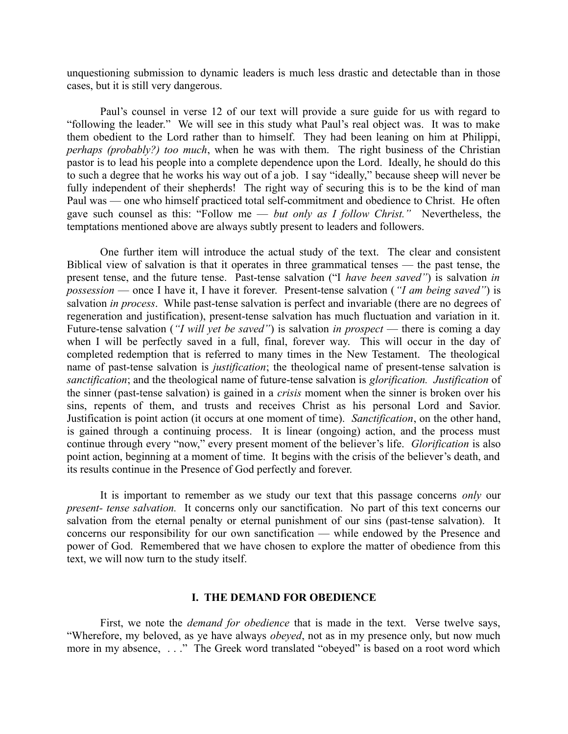unquestioning submission to dynamic leaders is much less drastic and detectable than in those cases, but it is still very dangerous.

Paul's counsel in verse 12 of our text will provide a sure guide for us with regard to "following the leader." We will see in this study what Paul's real object was. It was to make them obedient to the Lord rather than to himself. They had been leaning on him at Philippi, *perhaps (probably?) too much*, when he was with them. The right business of the Christian pastor is to lead his people into a complete dependence upon the Lord. Ideally, he should do this to such a degree that he works his way out of a job. I say "ideally," because sheep will never be fully independent of their shepherds! The right way of securing this is to be the kind of man Paul was — one who himself practiced total self-commitment and obedience to Christ. He often gave such counsel as this: "Follow me — *but only as I follow Christ."* Nevertheless, the temptations mentioned above are always subtly present to leaders and followers.

One further item will introduce the actual study of the text. The clear and consistent Biblical view of salvation is that it operates in three grammatical tenses — the past tense, the present tense, and the future tense. Past-tense salvation ("I *have been saved"*) is salvation *in possession* — once I have it, I have it forever. Present-tense salvation (*"I am being saved"*) is salvation *in process*. While past-tense salvation is perfect and invariable (there are no degrees of regeneration and justification), present-tense salvation has much fluctuation and variation in it. Future-tense salvation (*"I will yet be saved"*) is salvation *in prospect* — there is coming a day when I will be perfectly saved in a full, final, forever way. This will occur in the day of completed redemption that is referred to many times in the New Testament. The theological name of past-tense salvation is *justification*; the theological name of present-tense salvation is *sanctification*; and the theological name of future-tense salvation is *glorification. Justification* of the sinner (past-tense salvation) is gained in a *crisis* moment when the sinner is broken over his sins, repents of them, and trusts and receives Christ as his personal Lord and Savior. Justification is point action (it occurs at one moment of time). *Sanctification*, on the other hand, is gained through a continuing process. It is linear (ongoing) action, and the process must continue through every "now," every present moment of the believer's life. *Glorification* is also point action, beginning at a moment of time. It begins with the crisis of the believer's death, and its results continue in the Presence of God perfectly and forever.

It is important to remember as we study our text that this passage concerns *only* our *present- tense salvation.* It concerns only our sanctification. No part of this text concerns our salvation from the eternal penalty or eternal punishment of our sins (past-tense salvation). It concerns our responsibility for our own sanctification — while endowed by the Presence and power of God. Remembered that we have chosen to explore the matter of obedience from this text, we will now turn to the study itself.

## **I. THE DEMAND FOR OBEDIENCE**

First, we note the *demand for obedience* that is made in the text. Verse twelve says, "Wherefore, my beloved, as ye have always *obeyed*, not as in my presence only, but now much more in my absence, ..." The Greek word translated "obeyed" is based on a root word which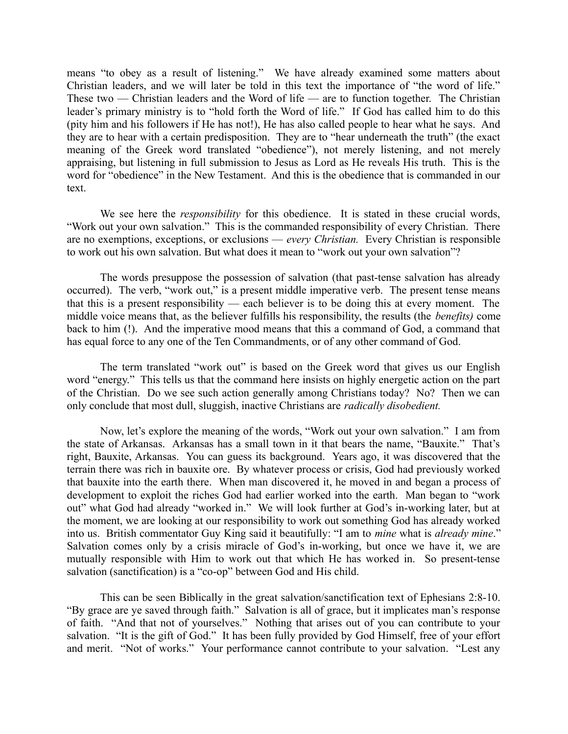means "to obey as a result of listening." We have already examined some matters about Christian leaders, and we will later be told in this text the importance of "the word of life." These two — Christian leaders and the Word of life — are to function together. The Christian leader's primary ministry is to "hold forth the Word of life." If God has called him to do this (pity him and his followers if He has not!), He has also called people to hear what he says. And they are to hear with a certain predisposition. They are to "hear underneath the truth" (the exact meaning of the Greek word translated "obedience"), not merely listening, and not merely appraising, but listening in full submission to Jesus as Lord as He reveals His truth. This is the word for "obedience" in the New Testament. And this is the obedience that is commanded in our text.

We see here the *responsibility* for this obedience. It is stated in these crucial words, "Work out your own salvation." This is the commanded responsibility of every Christian. There are no exemptions, exceptions, or exclusions — *every Christian.* Every Christian is responsible to work out his own salvation. But what does it mean to "work out your own salvation"?

The words presuppose the possession of salvation (that past-tense salvation has already occurred). The verb, "work out," is a present middle imperative verb. The present tense means that this is a present responsibility — each believer is to be doing this at every moment. The middle voice means that, as the believer fulfills his responsibility, the results (the *benefits)* come back to him (!). And the imperative mood means that this a command of God, a command that has equal force to any one of the Ten Commandments, or of any other command of God.

The term translated "work out" is based on the Greek word that gives us our English word "energy." This tells us that the command here insists on highly energetic action on the part of the Christian. Do we see such action generally among Christians today? No? Then we can only conclude that most dull, sluggish, inactive Christians are *radically disobedient.* 

Now, let's explore the meaning of the words, "Work out your own salvation." I am from the state of Arkansas. Arkansas has a small town in it that bears the name, "Bauxite." That's right, Bauxite, Arkansas. You can guess its background. Years ago, it was discovered that the terrain there was rich in bauxite ore. By whatever process or crisis, God had previously worked that bauxite into the earth there. When man discovered it, he moved in and began a process of development to exploit the riches God had earlier worked into the earth. Man began to "work out" what God had already "worked in." We will look further at God's in-working later, but at the moment, we are looking at our responsibility to work out something God has already worked into us. British commentator Guy King said it beautifully: "I am to *mine* what is *already mine*." Salvation comes only by a crisis miracle of God's in-working, but once we have it, we are mutually responsible with Him to work out that which He has worked in. So present-tense salvation (sanctification) is a "co-op" between God and His child.

This can be seen Biblically in the great salvation/sanctification text of Ephesians 2:8-10. "By grace are ye saved through faith." Salvation is all of grace, but it implicates man's response of faith. "And that not of yourselves." Nothing that arises out of you can contribute to your salvation. "It is the gift of God." It has been fully provided by God Himself, free of your effort and merit. "Not of works." Your performance cannot contribute to your salvation. "Lest any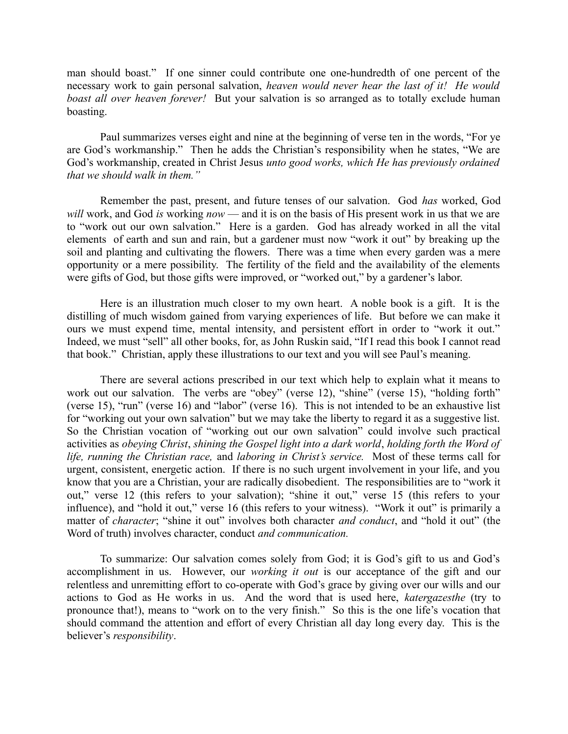man should boast." If one sinner could contribute one one-hundredth of one percent of the necessary work to gain personal salvation, *heaven would never hear the last of it! He would boast all over heaven forever!* But your salvation is so arranged as to totally exclude human boasting.

Paul summarizes verses eight and nine at the beginning of verse ten in the words, "For ye are God's workmanship." Then he adds the Christian's responsibility when he states, "We are God's workmanship, created in Christ Jesus *unto good works, which He has previously ordained that we should walk in them."* 

Remember the past, present, and future tenses of our salvation. God *has* worked, God *will* work, and God *is* working *now* — and it is on the basis of His present work in us that we are to "work out our own salvation." Here is a garden. God has already worked in all the vital elements of earth and sun and rain, but a gardener must now "work it out" by breaking up the soil and planting and cultivating the flowers. There was a time when every garden was a mere opportunity or a mere possibility. The fertility of the field and the availability of the elements were gifts of God, but those gifts were improved, or "worked out," by a gardener's labor.

Here is an illustration much closer to my own heart. A noble book is a gift. It is the distilling of much wisdom gained from varying experiences of life. But before we can make it ours we must expend time, mental intensity, and persistent effort in order to "work it out." Indeed, we must "sell" all other books, for, as John Ruskin said, "If I read this book I cannot read that book." Christian, apply these illustrations to our text and you will see Paul's meaning.

There are several actions prescribed in our text which help to explain what it means to work out our salvation. The verbs are "obey" (verse 12), "shine" (verse 15), "holding forth" (verse 15), "run" (verse 16) and "labor" (verse 16). This is not intended to be an exhaustive list for "working out your own salvation" but we may take the liberty to regard it as a suggestive list. So the Christian vocation of "working out our own salvation" could involve such practical activities as *obeying Christ*, *shining the Gospel light into a dark world*, *holding forth the Word of life, running the Christian race,* and *laboring in Christ's service.* Most of these terms call for urgent, consistent, energetic action. If there is no such urgent involvement in your life, and you know that you are a Christian, your are radically disobedient. The responsibilities are to "work it out," verse 12 (this refers to your salvation); "shine it out," verse 15 (this refers to your influence), and "hold it out," verse 16 (this refers to your witness). "Work it out" is primarily a matter of *character*; "shine it out" involves both character *and conduct*, and "hold it out" (the Word of truth) involves character, conduct *and communication.*

To summarize: Our salvation comes solely from God; it is God's gift to us and God's accomplishment in us. However, our *working it out* is our acceptance of the gift and our relentless and unremitting effort to co-operate with God's grace by giving over our wills and our actions to God as He works in us. And the word that is used here, *katergazesthe* (try to pronounce that!), means to "work on to the very finish." So this is the one life's vocation that should command the attention and effort of every Christian all day long every day. This is the believer's *responsibility*.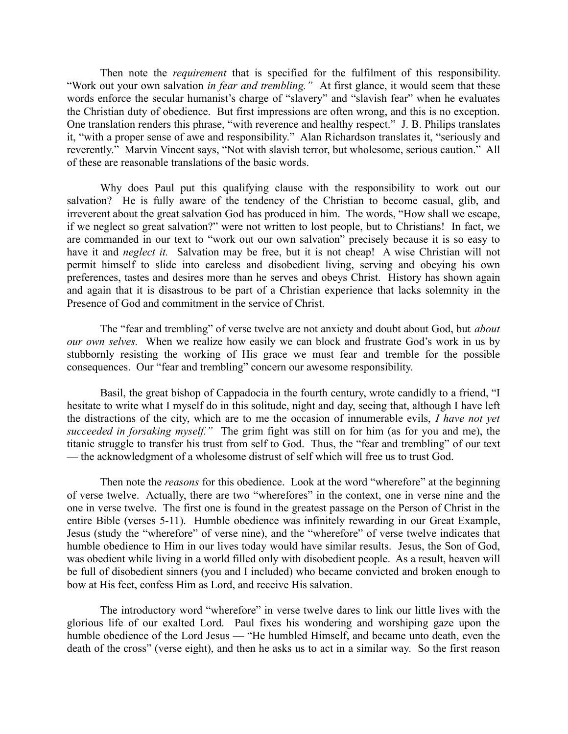Then note the *requirement* that is specified for the fulfilment of this responsibility. "Work out your own salvation *in fear and trembling."* At first glance, it would seem that these words enforce the secular humanist's charge of "slavery" and "slavish fear" when he evaluates the Christian duty of obedience. But first impressions are often wrong, and this is no exception. One translation renders this phrase, "with reverence and healthy respect." J. B. Philips translates it, "with a proper sense of awe and responsibility." Alan Richardson translates it, "seriously and reverently." Marvin Vincent says, "Not with slavish terror, but wholesome, serious caution." All of these are reasonable translations of the basic words.

Why does Paul put this qualifying clause with the responsibility to work out our salvation? He is fully aware of the tendency of the Christian to become casual, glib, and irreverent about the great salvation God has produced in him. The words, "How shall we escape, if we neglect so great salvation?" were not written to lost people, but to Christians! In fact, we are commanded in our text to "work out our own salvation" precisely because it is so easy to have it and *neglect it.* Salvation may be free, but it is not cheap! A wise Christian will not permit himself to slide into careless and disobedient living, serving and obeying his own preferences, tastes and desires more than he serves and obeys Christ. History has shown again and again that it is disastrous to be part of a Christian experience that lacks solemnity in the Presence of God and commitment in the service of Christ.

The "fear and trembling" of verse twelve are not anxiety and doubt about God, but *about our own selves.* When we realize how easily we can block and frustrate God's work in us by stubbornly resisting the working of His grace we must fear and tremble for the possible consequences. Our "fear and trembling" concern our awesome responsibility.

Basil, the great bishop of Cappadocia in the fourth century, wrote candidly to a friend, "I hesitate to write what I myself do in this solitude, night and day, seeing that, although I have left the distractions of the city, which are to me the occasion of innumerable evils, *I have not yet succeeded in forsaking myself."* The grim fight was still on for him (as for you and me), the titanic struggle to transfer his trust from self to God. Thus, the "fear and trembling" of our text — the acknowledgment of a wholesome distrust of self which will free us to trust God.

Then note the *reasons* for this obedience. Look at the word "wherefore" at the beginning of verse twelve. Actually, there are two "wherefores" in the context, one in verse nine and the one in verse twelve. The first one is found in the greatest passage on the Person of Christ in the entire Bible (verses 5-11). Humble obedience was infinitely rewarding in our Great Example, Jesus (study the "wherefore" of verse nine), and the "wherefore" of verse twelve indicates that humble obedience to Him in our lives today would have similar results. Jesus, the Son of God, was obedient while living in a world filled only with disobedient people. As a result, heaven will be full of disobedient sinners (you and I included) who became convicted and broken enough to bow at His feet, confess Him as Lord, and receive His salvation.

The introductory word "wherefore" in verse twelve dares to link our little lives with the glorious life of our exalted Lord. Paul fixes his wondering and worshiping gaze upon the humble obedience of the Lord Jesus — "He humbled Himself, and became unto death, even the death of the cross" (verse eight), and then he asks us to act in a similar way. So the first reason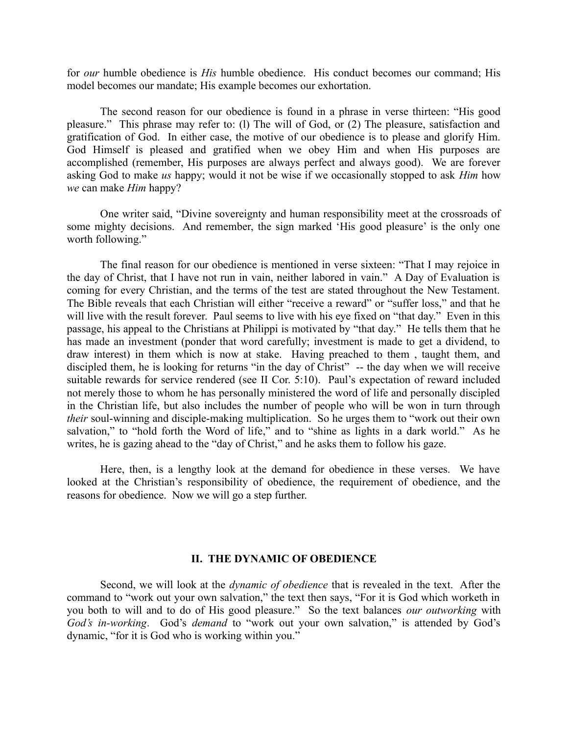for *our* humble obedience is *His* humble obedience. His conduct becomes our command; His model becomes our mandate; His example becomes our exhortation.

The second reason for our obedience is found in a phrase in verse thirteen: "His good pleasure." This phrase may refer to: (l) The will of God, or (2) The pleasure, satisfaction and gratification of God. In either case, the motive of our obedience is to please and glorify Him. God Himself is pleased and gratified when we obey Him and when His purposes are accomplished (remember, His purposes are always perfect and always good). We are forever asking God to make *us* happy; would it not be wise if we occasionally stopped to ask *Him* how *we* can make *Him* happy?

One writer said, "Divine sovereignty and human responsibility meet at the crossroads of some mighty decisions. And remember, the sign marked 'His good pleasure' is the only one worth following."

The final reason for our obedience is mentioned in verse sixteen: "That I may rejoice in the day of Christ, that I have not run in vain, neither labored in vain." A Day of Evaluation is coming for every Christian, and the terms of the test are stated throughout the New Testament. The Bible reveals that each Christian will either "receive a reward" or "suffer loss," and that he will live with the result forever. Paul seems to live with his eye fixed on "that day." Even in this passage, his appeal to the Christians at Philippi is motivated by "that day." He tells them that he has made an investment (ponder that word carefully; investment is made to get a dividend, to draw interest) in them which is now at stake. Having preached to them , taught them, and discipled them, he is looking for returns "in the day of Christ" -- the day when we will receive suitable rewards for service rendered (see II Cor. 5:10). Paul's expectation of reward included not merely those to whom he has personally ministered the word of life and personally discipled in the Christian life, but also includes the number of people who will be won in turn through *their* soul-winning and disciple-making multiplication. So he urges them to "work out their own salvation," to "hold forth the Word of life," and to "shine as lights in a dark world." As he writes, he is gazing ahead to the "day of Christ," and he asks them to follow his gaze.

Here, then, is a lengthy look at the demand for obedience in these verses. We have looked at the Christian's responsibility of obedience, the requirement of obedience, and the reasons for obedience. Now we will go a step further.

#### **II. THE DYNAMIC OF OBEDIENCE**

Second, we will look at the *dynamic of obedience* that is revealed in the text. After the command to "work out your own salvation," the text then says, "For it is God which worketh in you both to will and to do of His good pleasure." So the text balances *our outworking* with *God's in-working*. God's *demand* to "work out your own salvation," is attended by God's dynamic, "for it is God who is working within you."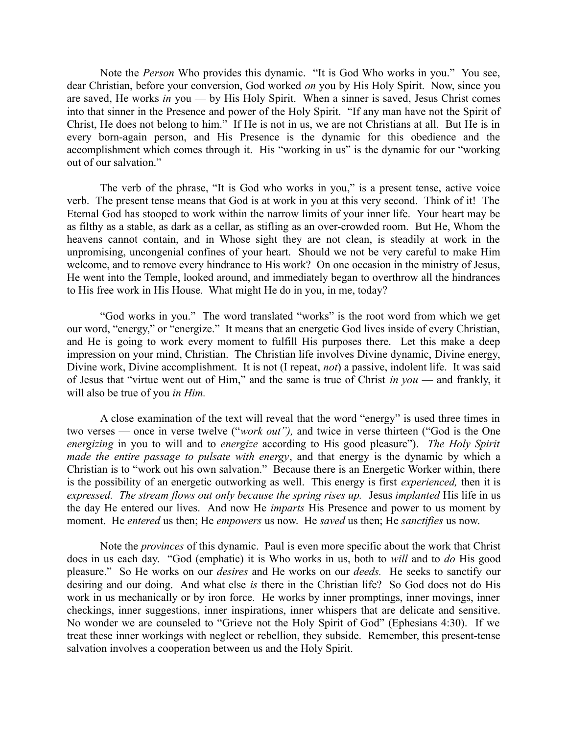Note the *Person* Who provides this dynamic. "It is God Who works in you." You see, dear Christian, before your conversion, God worked *on* you by His Holy Spirit. Now, since you are saved, He works *in* you — by His Holy Spirit. When a sinner is saved, Jesus Christ comes into that sinner in the Presence and power of the Holy Spirit. "If any man have not the Spirit of Christ, He does not belong to him." If He is not in us, we are not Christians at all. But He is in every born-again person, and His Presence is the dynamic for this obedience and the accomplishment which comes through it. His "working in us" is the dynamic for our "working out of our salvation."

The verb of the phrase, "It is God who works in you," is a present tense, active voice verb. The present tense means that God is at work in you at this very second. Think of it! The Eternal God has stooped to work within the narrow limits of your inner life. Your heart may be as filthy as a stable, as dark as a cellar, as stifling as an over-crowded room. But He, Whom the heavens cannot contain, and in Whose sight they are not clean, is steadily at work in the unpromising, uncongenial confines of your heart. Should we not be very careful to make Him welcome, and to remove every hindrance to His work? On one occasion in the ministry of Jesus, He went into the Temple, looked around, and immediately began to overthrow all the hindrances to His free work in His House. What might He do in you, in me, today?

"God works in you." The word translated "works" is the root word from which we get our word, "energy," or "energize." It means that an energetic God lives inside of every Christian, and He is going to work every moment to fulfill His purposes there. Let this make a deep impression on your mind, Christian. The Christian life involves Divine dynamic, Divine energy, Divine work, Divine accomplishment. It is not (I repeat, *not*) a passive, indolent life. It was said of Jesus that "virtue went out of Him," and the same is true of Christ *in you* — and frankly, it will also be true of you *in Him.*

A close examination of the text will reveal that the word "energy" is used three times in two verses — once in verse twelve ("*work out"),* and twice in verse thirteen ("God is the One *energizing* in you to will and to *energize* according to His good pleasure"). *The Holy Spirit made the entire passage to pulsate with energy*, and that energy is the dynamic by which a Christian is to "work out his own salvation." Because there is an Energetic Worker within, there is the possibility of an energetic outworking as well. This energy is first *experienced,* then it is *expressed. The stream flows out only because the spring rises up.* Jesus *implanted* His life in us the day He entered our lives. And now He *imparts* His Presence and power to us moment by moment. He *entered* us then; He *empowers* us now. He *saved* us then; He *sanctifies* us now.

Note the *provinces* of this dynamic. Paul is even more specific about the work that Christ does in us each day. "God (emphatic) it is Who works in us, both to *will* and to *do* His good pleasure." So He works on our *desires* and He works on our *deeds.* He seeks to sanctify our desiring and our doing. And what else *is* there in the Christian life? So God does not do His work in us mechanically or by iron force. He works by inner promptings, inner movings, inner checkings, inner suggestions, inner inspirations, inner whispers that are delicate and sensitive. No wonder we are counseled to "Grieve not the Holy Spirit of God" (Ephesians 4:30). If we treat these inner workings with neglect or rebellion, they subside. Remember, this present-tense salvation involves a cooperation between us and the Holy Spirit.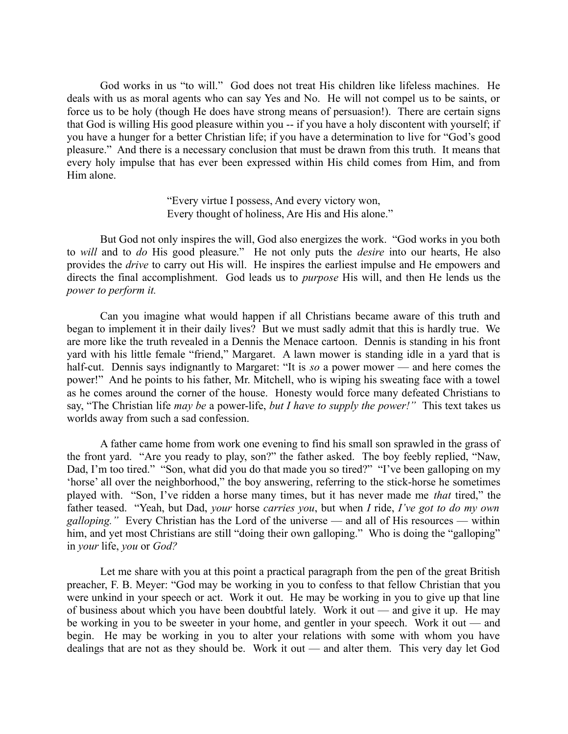God works in us "to will." God does not treat His children like lifeless machines. He deals with us as moral agents who can say Yes and No. He will not compel us to be saints, or force us to be holy (though He does have strong means of persuasion!). There are certain signs that God is willing His good pleasure within you -- if you have a holy discontent with yourself; if you have a hunger for a better Christian life; if you have a determination to live for "God's good pleasure." And there is a necessary conclusion that must be drawn from this truth. It means that every holy impulse that has ever been expressed within His child comes from Him, and from Him alone.

> "Every virtue I possess, And every victory won, Every thought of holiness, Are His and His alone."

But God not only inspires the will, God also energizes the work. "God works in you both to *will* and to *do* His good pleasure." He not only puts the *desire* into our hearts, He also provides the *drive* to carry out His will. He inspires the earliest impulse and He empowers and directs the final accomplishment. God leads us to *purpose* His will, and then He lends us the *power to perform it.*

Can you imagine what would happen if all Christians became aware of this truth and began to implement it in their daily lives? But we must sadly admit that this is hardly true. We are more like the truth revealed in a Dennis the Menace cartoon. Dennis is standing in his front yard with his little female "friend," Margaret. A lawn mower is standing idle in a yard that is half-cut. Dennis says indignantly to Margaret: "It is *so* a power mower — and here comes the power!" And he points to his father, Mr. Mitchell, who is wiping his sweating face with a towel as he comes around the corner of the house. Honesty would force many defeated Christians to say, "The Christian life *may be* a power-life, *but I have to supply the power!"* This text takes us worlds away from such a sad confession.

A father came home from work one evening to find his small son sprawled in the grass of the front yard. "Are you ready to play, son?" the father asked. The boy feebly replied, "Naw, Dad, I'm too tired." "Son, what did you do that made you so tired?" "I've been galloping on my 'horse' all over the neighborhood," the boy answering, referring to the stick-horse he sometimes played with. "Son, I've ridden a horse many times, but it has never made me *that* tired," the father teased. "Yeah, but Dad, *your* horse *carries you*, but when *I* ride, *I've got to do my own galloping."* Every Christian has the Lord of the universe — and all of His resources — within him, and yet most Christians are still "doing their own galloping." Who is doing the "galloping" in *your* life, *you* or *God?* 

Let me share with you at this point a practical paragraph from the pen of the great British preacher, F. B. Meyer: "God may be working in you to confess to that fellow Christian that you were unkind in your speech or act. Work it out. He may be working in you to give up that line of business about which you have been doubtful lately. Work it out — and give it up. He may be working in you to be sweeter in your home, and gentler in your speech. Work it out — and begin. He may be working in you to alter your relations with some with whom you have dealings that are not as they should be. Work it out — and alter them. This very day let God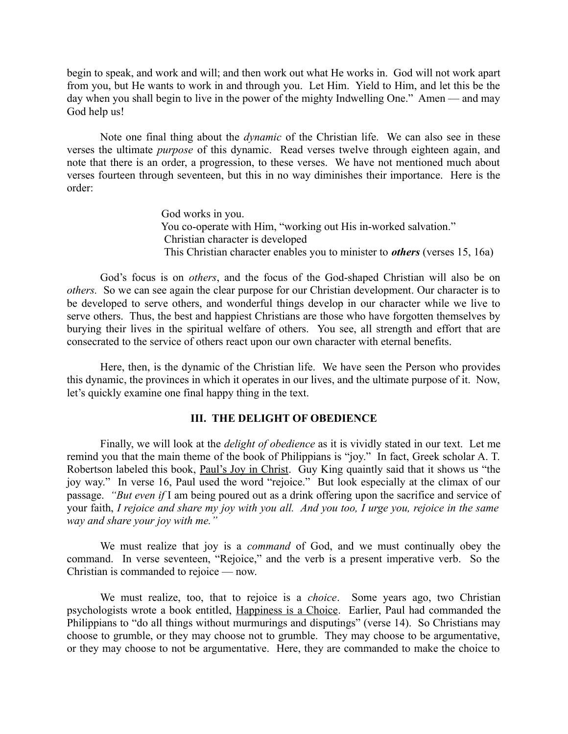begin to speak, and work and will; and then work out what He works in. God will not work apart from you, but He wants to work in and through you. Let Him. Yield to Him, and let this be the day when you shall begin to live in the power of the mighty Indwelling One." Amen — and may God help us!

Note one final thing about the *dynamic* of the Christian life. We can also see in these verses the ultimate *purpose* of this dynamic. Read verses twelve through eighteen again, and note that there is an order, a progression, to these verses. We have not mentioned much about verses fourteen through seventeen, but this in no way diminishes their importance. Here is the order:

> God works in you. You co-operate with Him, "working out His in-worked salvation." Christian character is developed This Christian character enables you to minister to *others* (verses 15, 16a)

God's focus is on *others*, and the focus of the God-shaped Christian will also be on *others.* So we can see again the clear purpose for our Christian development. Our character is to be developed to serve others, and wonderful things develop in our character while we live to serve others. Thus, the best and happiest Christians are those who have forgotten themselves by burying their lives in the spiritual welfare of others. You see, all strength and effort that are consecrated to the service of others react upon our own character with eternal benefits.

Here, then, is the dynamic of the Christian life. We have seen the Person who provides this dynamic, the provinces in which it operates in our lives, and the ultimate purpose of it. Now, let's quickly examine one final happy thing in the text.

# **III. THE DELIGHT OF OBEDIENCE**

Finally, we will look at the *delight of obedience* as it is vividly stated in our text. Let me remind you that the main theme of the book of Philippians is "joy." In fact, Greek scholar A. T. Robertson labeled this book, Paul's Joy in Christ. Guy King quaintly said that it shows us "the joy way." In verse 16, Paul used the word "rejoice." But look especially at the climax of our passage. *"But even if* I am being poured out as a drink offering upon the sacrifice and service of your faith, *I rejoice and share my joy with you all. And you too, I urge you, rejoice in the same way and share your joy with me."* 

We must realize that joy is a *command* of God, and we must continually obey the command. In verse seventeen, "Rejoice," and the verb is a present imperative verb. So the Christian is commanded to rejoice — now.

We must realize, too, that to rejoice is a *choice*. Some years ago, two Christian psychologists wrote a book entitled, Happiness is a Choice. Earlier, Paul had commanded the Philippians to "do all things without murmurings and disputings" (verse 14). So Christians may choose to grumble, or they may choose not to grumble. They may choose to be argumentative, or they may choose to not be argumentative. Here, they are commanded to make the choice to